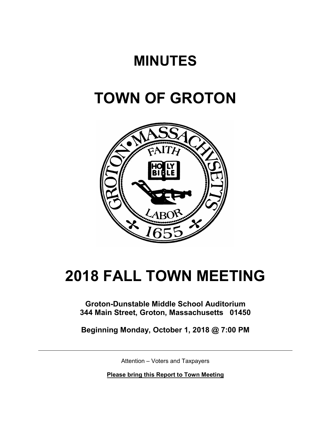# **MINUTES**

# **TOWN OF GROTON**



# **2018 FALL TOWN MEETING**

**Groton-Dunstable Middle School Auditorium 344 Main Street, Groton, Massachusetts 01450**

**Beginning Monday, October 1, 2018 @ 7:00 PM**

Attention – Voters and Taxpayers

**Please bring this Report to Town Meeting**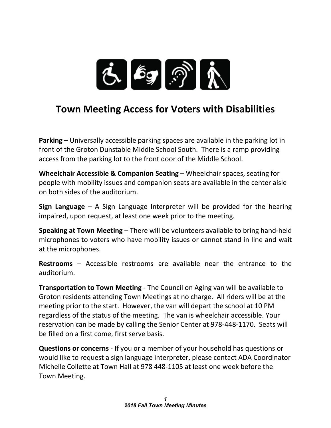

# **Town Meeting Access for Voters with Disabilities**

**Parking** – Universally accessible parking spaces are available in the parking lot in front of the Groton Dunstable Middle School South. There is a ramp providing access from the parking lot to the front door of the Middle School.

**Wheelchair Accessible & Companion Seating** – Wheelchair spaces, seating for people with mobility issues and companion seats are available in the center aisle on both sides of the auditorium.

**Sign Language** – A Sign Language Interpreter will be provided for the hearing impaired, upon request, at least one week prior to the meeting.

**Speaking at Town Meeting** – There will be volunteers available to bring hand-held microphones to voters who have mobility issues or cannot stand in line and wait at the microphones.

**Restrooms** – Accessible restrooms are available near the entrance to the auditorium.

**Transportation to Town Meeting** - The Council on Aging van will be available to Groton residents attending Town Meetings at no charge. All riders will be at the meeting prior to the start. However, the van will depart the school at 10 PM regardless of the status of the meeting. The van is wheelchair accessible. Your reservation can be made by calling the Senior Center at 978-448-1170. Seats will be filled on a first come, first serve basis.

**Questions or concerns** - If you or a member of your household has questions or would like to request a sign language interpreter, please contact ADA Coordinator Michelle Collette at Town Hall at 978 448-1105 at least one week before the Town Meeting.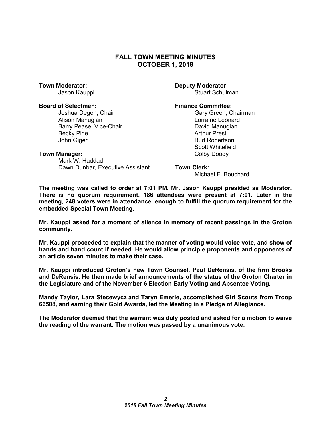# **FALL TOWN MEETING MINUTES OCTOBER 1, 2018**

#### **Board of Selectmen: Finance Committee:**

Joshua Degen, Chair Gary Green, Chairman Alison Manugian Lorraine Leonard Barry Pease, Vice-Chair Becky Pine **Arthur Prest** John Giger **Bud Robertson** 

**Town Moderator: Community Community Community Community Community Community Community Community Community Community Community Community Community Community Community Community Community Community Community Community Com** Stuart Schulman

Scott Whitefield

#### **Town Manager:** Town Manager: The Color Doody Doody Doody Doody Doody Doody Doody Doody Doody Doody Doody Doody Doody Doody Doody Doody Doody Doody Doody Doody Doody Doody Doody Doody Doody Doody Doody Doody Doody Doody Do

Mark W. Haddad Dawn Dunbar, Executive Assistant **Town Clerk:**

Michael F. Bouchard

**The meeting was called to order at 7:01 PM. Mr. Jason Kauppi presided as Moderator. There is no quorum requirement. 186 attendees were present at 7:01. Later in the meeting, 248 voters were in attendance, enough to fulfill the quorum requirement for the embedded Special Town Meeting.** 

**Mr. Kauppi asked for a moment of silence in memory of recent passings in the Groton community.**

**Mr. Kauppi proceeded to explain that the manner of voting would voice vote, and show of hands and hand count if needed. He would allow principle proponents and opponents of an article seven minutes to make their case.**

**Mr. Kauppi introduced Groton's new Town Counsel, Paul DeRensis, of the firm Brooks and DeRensis. He then made brief announcements of the status of the Groton Charter in the Legislature and of the November 6 Election Early Voting and Absentee Voting.**

**Mandy Taylor, Lara Stecewycz and Taryn Emerle, accomplished Girl Scouts from Troop 66508, and earning their Gold Awards, led the Meeting in a Pledge of Allegiance.**

**The Moderator deemed that the warrant was duly posted and asked for a motion to waive the reading of the warrant. The motion was passed by a unanimous vote.**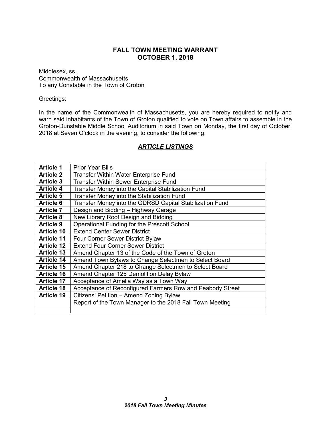# **FALL TOWN MEETING WARRANT OCTOBER 1, 2018**

Middlesex, ss. Commonwealth of Massachusetts To any Constable in the Town of Groton

#### Greetings:

In the name of the Commonwealth of Massachusetts, you are hereby required to notify and warn said inhabitants of the Town of Groton qualified to vote on Town affairs to assemble in the Groton-Dunstable Middle School Auditorium in said Town on Monday, the first day of October, 2018 at Seven O'clock in the evening, to consider the following:

# *ARTICLE LISTINGS*

| <b>Article 1</b>  | <b>Prior Year Bills</b>                                   |
|-------------------|-----------------------------------------------------------|
| <b>Article 2</b>  | <b>Transfer Within Water Enterprise Fund</b>              |
| <b>Article 3</b>  | <b>Transfer Within Sewer Enterprise Fund</b>              |
| <b>Article 4</b>  | Transfer Money into the Capital Stabilization Fund        |
| <b>Article 5</b>  | Transfer Money into the Stabilization Fund                |
| <b>Article 6</b>  | Transfer Money into the GDRSD Capital Stabilization Fund  |
| <b>Article 7</b>  | Design and Bidding - Highway Garage                       |
| <b>Article 8</b>  | New Library Roof Design and Bidding                       |
| <b>Article 9</b>  | Operational Funding for the Prescott School               |
| <b>Article 10</b> | <b>Extend Center Sewer District</b>                       |
| <b>Article 11</b> | <b>Four Corner Sewer District Bylaw</b>                   |
| <b>Article 12</b> | <b>Extend Four Corner Sewer District</b>                  |
| <b>Article 13</b> | Amend Chapter 13 of the Code of the Town of Groton        |
| <b>Article 14</b> | Amend Town Bylaws to Change Selectmen to Select Board     |
| <b>Article 15</b> | Amend Chapter 218 to Change Selectmen to Select Board     |
| <b>Article 16</b> | Amend Chapter 125 Demolition Delay Bylaw                  |
| <b>Article 17</b> | Acceptance of Amelia Way as a Town Way                    |
| <b>Article 18</b> | Acceptance of Reconfigured Farmers Row and Peabody Street |
| <b>Article 19</b> | Citizens' Petition - Amend Zoning Bylaw                   |
|                   | Report of the Town Manager to the 2018 Fall Town Meeting  |
|                   |                                                           |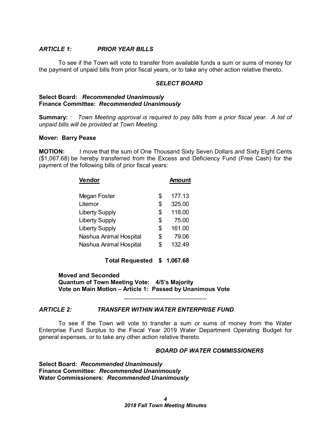#### *ARTICLE 1: PRIOR YEAR BILLS*

To see if the Town will vote to transfer from available funds a sum or sums of money for the payment of unpaid bills from prior fiscal years, or to take any other action relative thereto.

## *SELECT BOARD*

#### **Select Board:** *Recommended Unanimously* **Finance Committee:** *Recommended Unanimously*

**Summary:** *Town Meeting approval is required to pay bills from a prior fiscal year. A list of unpaid bills will be provided at Town Meeting.*

#### **Mover: Barry Pease**

**MOTION:** I move that the sum of One Thousand Sixty Seven Dollars and Sixty Eight Cents (\$1,067.68) be hereby transferred from the Excess and Deficiency Fund (Free Cash) for the payment of the following bills of prior fiscal years:

| Vendor                 | <b>Amount</b> |        |
|------------------------|---------------|--------|
|                        |               |        |
| Megan Foster           | \$            | 177.13 |
| Litemor                | \$            | 325.00 |
| <b>Liberty Supply</b>  | \$            | 118.00 |
| <b>Liberty Supply</b>  | \$            | 75.00  |
| <b>Liberty Supply</b>  | \$            | 161.00 |
| Nashua Animal Hospital | \$            | 79.06  |
| Nashua Animal Hospital | \$            | 132.49 |

**Total Requested \$ 1,067.68**

**Moved and Seconded Quantum of Town Meeting Vote: 4/5's Majority Vote on Main Motion – Article 1: Passed by Unanimous Vote**

# *ARTICLE 2: TRANSFER WITHIN WATER ENTERPRISE FUND*

To see if the Town will vote to transfer a sum or sums of money from the Water Enterprise Fund Surplus to the Fiscal Year 2019 Water Department Operating Budget for general expenses, or to take any other action relative thereto.

 $\overline{\phantom{a}}$  , which is a set of the set of the set of the set of the set of the set of the set of the set of the set of the set of the set of the set of the set of the set of the set of the set of the set of the set of th

#### *BOARD OF WATER COMMISSIONERS*

**Select Board:** *Recommended Unanimously* **Finance Committee:** *Recommended Unanimously* **Water Commissioners:** *Recommended Unanimously*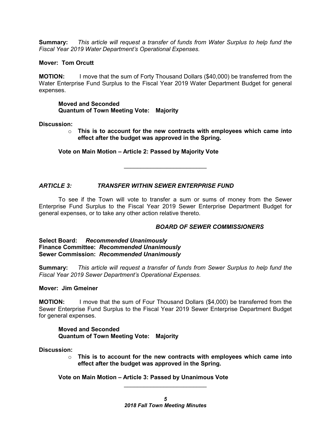**Summary:** *This article will request a transfer of funds from Water Surplus to help fund the Fiscal Year 2019 Water Department's Operational Expenses.*

#### **Mover: Tom Orcutt**

**MOTION:** I move that the sum of Forty Thousand Dollars (\$40,000) be transferred from the Water Enterprise Fund Surplus to the Fiscal Year 2019 Water Department Budget for general expenses.

**Moved and Seconded Quantum of Town Meeting Vote: Majority**

**Discussion:**

o **This is to account for the new contracts with employees which came into effect after the budget was approved in the Spring.**

#### **Vote on Main Motion – Article 2: Passed by Majority Vote**

*ARTICLE 3: TRANSFER WITHIN SEWER ENTERPRISE FUND*

To see if the Town will vote to transfer a sum or sums of money from the Sewer Enterprise Fund Surplus to the Fiscal Year 2019 Sewer Enterprise Department Budget for general expenses, or to take any other action relative thereto.

\_\_\_\_\_\_\_\_\_\_\_\_\_\_\_\_\_\_\_\_\_\_\_\_\_

# *BOARD OF SEWER COMMISSIONERS*

**Select Board:** *Recommended Unanimously* **Finance Committee:** *Recommended Unanimously* **Sewer Commission:** *Recommended Unanimously*

**Summary:** *This article will request a transfer of funds from Sewer Surplus to help fund the Fiscal Year 2019 Sewer Department's Operational Expenses.*

#### **Mover: Jim Gmeiner**

**MOTION:** I move that the sum of Four Thousand Dollars (\$4,000) be transferred from the Sewer Enterprise Fund Surplus to the Fiscal Year 2019 Sewer Enterprise Department Budget for general expenses.

#### **Moved and Seconded Quantum of Town Meeting Vote: Majority**

**Discussion:**

o **This is to account for the new contracts with employees which came into effect after the budget was approved in the Spring.**

**Vote on Main Motion – Article 3: Passed by Unanimous Vote**

 $\overline{\phantom{a}}$  , which is a set of the set of the set of the set of the set of the set of the set of the set of the set of the set of the set of the set of the set of the set of the set of the set of the set of the set of th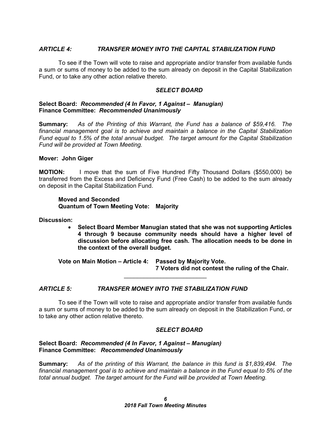### *ARTICLE 4: TRANSFER MONEY INTO THE CAPITAL STABILIZATION FUND*

To see if the Town will vote to raise and appropriate and/or transfer from available funds a sum or sums of money to be added to the sum already on deposit in the Capital Stabilization Fund, or to take any other action relative thereto.

#### *SELECT BOARD*

#### **Select Board:** *Recommended (4 In Favor, 1 Against – Manugian)* **Finance Committee:** *Recommended Unanimously*

**Summary:** *As of the Printing of this Warrant, the Fund has a balance of \$59,416. The financial management goal is to achieve and maintain a balance in the Capital Stabilization Fund equal to 1.5% of the total annual budget. The target amount for the Capital Stabilization Fund will be provided at Town Meeting.*

#### **Mover: John Giger**

**MOTION:** I move that the sum of Five Hundred Fifty Thousand Dollars (\$550,000) be transferred from the Excess and Deficiency Fund (Free Cash) to be added to the sum already on deposit in the Capital Stabilization Fund.

#### **Moved and Seconded Quantum of Town Meeting Vote: Majority**

**Discussion:**

• **Select Board Member Manugian stated that she was not supporting Articles 4 through 9 because community needs should have a higher level of discussion before allocating free cash. The allocation needs to be done in the context of the overall budget.** 

**Vote on Main Motion – Article 4: Passed by Majority Vote. 7 Voters did not contest the ruling of the Chair.**

#### *ARTICLE 5: TRANSFER MONEY INTO THE STABILIZATION FUND*

To see if the Town will vote to raise and appropriate and/or transfer from available funds a sum or sums of money to be added to the sum already on deposit in the Stabilization Fund, or to take any other action relative thereto.

 $\overline{\phantom{a}}$  , which is a set of the set of the set of the set of the set of the set of the set of the set of the set of the set of the set of the set of the set of the set of the set of the set of the set of the set of th

#### *SELECT BOARD*

#### **Select Board:** *Recommended (4 In Favor, 1 Against – Manugian)* **Finance Committee:** *Recommended Unanimously*

**Summary:** *As of the printing of this Warrant, the balance in this fund is \$1,839,494. The financial management goal is to achieve and maintain a balance in the Fund equal to 5% of the total annual budget. The target amount for the Fund will be provided at Town Meeting.*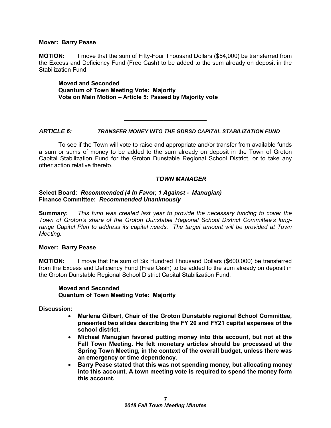#### **Mover: Barry Pease**

**MOTION:** I move that the sum of Fifty-Four Thousand Dollars (\$54,000) be transferred from the Excess and Deficiency Fund (Free Cash) to be added to the sum already on deposit in the Stabilization Fund.

**Moved and Seconded Quantum of Town Meeting Vote: Majority Vote on Main Motion – Article 5: Passed by Majority vote**

#### *ARTICLE 6: TRANSFER MONEY INTO THE GDRSD CAPITAL STABILIZATION FUND*

\_\_\_\_\_\_\_\_\_\_\_\_\_\_\_\_\_\_\_\_\_\_\_\_\_

To see if the Town will vote to raise and appropriate and/or transfer from available funds a sum or sums of money to be added to the sum already on deposit in the Town of Groton Capital Stabilization Fund for the Groton Dunstable Regional School District, or to take any other action relative thereto.

#### *TOWN MANAGER*

#### **Select Board:** *Recommended (4 In Favor, 1 Against - Manugian)*  **Finance Committee:** *Recommended Unanimously*

**Summary:** *This fund was created last year to provide the necessary funding to cover the Town of Groton's share of the Groton Dunstable Regional School District Committee's longrange Capital Plan to address its capital needs. The target amount will be provided at Town Meeting.*

#### **Mover: Barry Pease**

**MOTION:** I move that the sum of Six Hundred Thousand Dollars (\$600,000) be transferred from the Excess and Deficiency Fund (Free Cash) to be added to the sum already on deposit in the Groton Dunstable Regional School District Capital Stabilization Fund.

#### **Moved and Seconded Quantum of Town Meeting Vote: Majority**

**Discussion:**

- **Marlena Gilbert, Chair of the Groton Dunstable regional School Committee, presented two slides describing the FY 20 and FY21 capital expenses of the school district.**
- **Michael Manugian favored putting money into this account, but not at the Fall Town Meeting. He felt monetary articles should be processed at the Spring Town Meeting, in the context of the overall budget, unless there was an emergency or time dependency.**
- **Barry Pease stated that this was not spending money, but allocating money into this account. A town meeting vote is required to spend the money form this account.**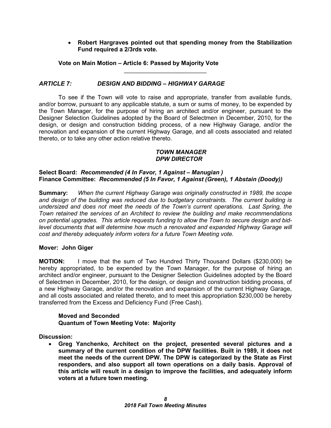# • **Robert Hargraves pointed out that spending money from the Stabilization Fund required a 2/3rds vote.**

**Vote on Main Motion – Article 6: Passed by Majority Vote**

# *ARTICLE 7: DESIGN AND BIDDING – HIGHWAY GARAGE*

To see if the Town will vote to raise and appropriate, transfer from available funds, and/or borrow, pursuant to any applicable statute, a sum or sums of money, to be expended by the Town Manager, for the purpose of hiring an architect and/or engineer, pursuant to the Designer Selection Guidelines adopted by the Board of Selectmen in December, 2010, for the design, or design and construction bidding process, of a new Highway Garage, and/or the renovation and expansion of the current Highway Garage, and all costs associated and related thereto, or to take any other action relative thereto.

\_\_\_\_\_\_\_\_\_\_\_\_\_\_\_\_\_\_\_\_\_\_\_\_\_

## *TOWN MANAGER DPW DIRECTOR*

## **Select Board:** *Recommended (4 In Favor, 1 Against – Manugian )* **Finance Committee:** *Recommended (5 In Favor, 1 Against (Green), 1 Abstain (Doody))*

**Summary:** *When the current Highway Garage was originally constructed in 1989, the scope and design of the building was reduced due to budgetary constraints. The current building is undersized and does not meet the needs of the Town's current operations. Last Spring, the Town retained the services of an Architect to review the building and make recommendations on potential upgrades. This article requests funding to allow the Town to secure design and bidlevel documents that will determine how much a renovated and expanded Highway Garage will cost and thereby adequately inform voters for a future Town Meeting vote.*

# **Mover: John Giger**

**MOTION:** I move that the sum of Two Hundred Thirty Thousand Dollars (\$230,000) be hereby appropriated, to be expended by the Town Manager, for the purpose of hiring an architect and/or engineer, pursuant to the Designer Selection Guidelines adopted by the Board of Selectmen in December, 2010, for the design, or design and construction bidding process, of a new Highway Garage, and/or the renovation and expansion of the current Highway Garage, and all costs associated and related thereto, and to meet this appropriation \$230,000 be hereby transferred from the Excess and Deficiency Fund (Free Cash).

#### **Moved and Seconded Quantum of Town Meeting Vote: Majority**

**Discussion:**

• **Greg Yanchenko, Architect on the project, presented several pictures and a summary of the current condition of the DPW facilities. Built in 1989, it does not meet the needs of the current DPW. The DPW is categorized by the State as First responders, and also support all town operations on a daily basis. Approval of this article will result in a design to improve the facilities, and adequately inform voters at a future town meeting.**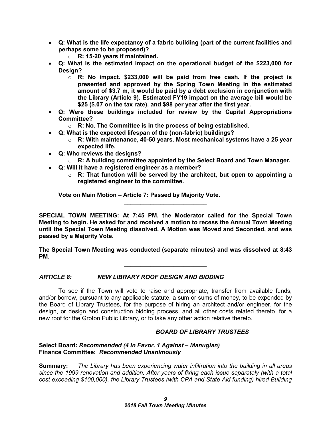- **Q: What is the life expectancy of a fabric building (part of the current facilities and perhaps some to be proposed)?**
	- o **R: 15-20 years if maintained.**
- **Q: What is the estimated impact on the operational budget of the \$223,000 for Design?**
	- o **R: No impact. \$233,000 will be paid from free cash. If the project is presented and approved by the Spring Town Meeting in the estimated amount of \$3.7 m, it would be paid by a debt exclusion in conjunction with the Library (Article 9). Estimated FY19 impact on the average bill would be \$25 (\$.07 on the tax rate), and \$98 per year after the first year.**
- **Q: Were these buildings included for review by the Capital Appropriations Committee?** 
	- o **R: No. The Committee is in the process of being established.**
- **Q: What is the expected lifespan of the (non-fabric) buildings?**
	- o **R: With maintenance, 40-50 years. Most mechanical systems have a 25 year expected life.**
- **Q: Who reviews the designs?**
	- o **R: A building committee appointed by the Select Board and Town Manager.**
- **Q: Will it have a registered engineer as a member?**
	- o **R: That function will be served by the architect, but open to appointing a registered engineer to the committee.**

**Vote on Main Motion – Article 7: Passed by Majority Vote.**

**SPECIAL TOWN MEETING: At 7:45 PM, the Moderator called for the Special Town Meeting to begin. He asked for and received a motion to recess the Annual Town Meeting until the Special Town Meeting dissolved. A Motion was Moved and Seconded, and was passed by a Majority Vote.** 

 $\mathcal{L}_\text{max}$  , which is a set of the set of the set of the set of the set of the set of the set of the set of the set of the set of the set of the set of the set of the set of the set of the set of the set of the set of

**The Special Town Meeting was conducted (separate minutes) and was dissolved at 8:43 PM.** 

 $\overline{\phantom{a}}$  , where  $\overline{\phantom{a}}$  , where  $\overline{\phantom{a}}$  , where  $\overline{\phantom{a}}$ 

# *ARTICLE 8: NEW LIBRARY ROOF DESIGN AND BIDDING*

To see if the Town will vote to raise and appropriate, transfer from available funds, and/or borrow, pursuant to any applicable statute, a sum or sums of money, to be expended by the Board of Library Trustees, for the purpose of hiring an architect and/or engineer, for the design, or design and construction bidding process, and all other costs related thereto, for a new roof for the Groton Public Library, or to take any other action relative thereto.

# *BOARD OF LIBRARY TRUSTEES*

#### **Select Board:** *Recommended (4 In Favor, 1 Against – Manugian)* **Finance Committee:** *Recommended Unanimously*

**Summary:** *The Library has been experiencing water infiltration into the building in all areas since the 1999 renovation and addition. After years of fixing each issue separately (with a total cost exceeding \$100,000), the Library Trustees (with CPA and State Aid funding) hired Building*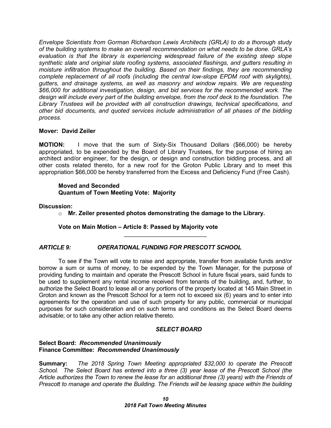*Envelope Scientists from Gorman Richardson Lewis Architects (GRLA) to do a thorough study of the building systems to make an overall recommendation on what needs to be done. GRLA's evaluation is that the library is experiencing widespread failure of the existing steep slope synthetic slate and original slate roofing systems, associated flashings, and gutters resulting in moisture infiltration throughout the building. Based on their findings, they are recommending complete replacement of all roofs (including the central low-slope EPDM roof with skylights), gutters, and drainage systems, as well as masonry and window repairs. We are requesting \$66,000 for additional investigation, design, and bid services for the recommended work. The design will include every part of the building envelope, from the roof deck to the foundation. The Library Trustees will be provided with all construction drawings, technical specifications, and other bid documents, and quoted services include administration of all phases of the bidding process.*

#### **Mover: David Zeiler**

**MOTION:** I move that the sum of Sixty-Six Thousand Dollars (\$66,000) be hereby appropriated, to be expended by the Board of Library Trustees, for the purpose of hiring an architect and/or engineer, for the design, or design and construction bidding process, and all other costs related thereto, for a new roof for the Groton Public Library and to meet this appropriation \$66,000 be hereby transferred from the Excess and Deficiency Fund (Free Cash).

#### **Moved and Seconded Quantum of Town Meeting Vote: Majority**

**Discussion:**

o **Mr. Zeiler presented photos demonstrating the damage to the Library.**

\_\_\_\_\_\_\_\_\_\_\_\_\_\_\_\_\_\_\_\_\_\_\_\_\_

# **Vote on Main Motion – Article 8: Passed by Majority vote**

# *ARTICLE 9: OPERATIONAL FUNDING FOR PRESCOTT SCHOOL*

To see if the Town will vote to raise and appropriate, transfer from available funds and/or borrow a sum or sums of money, to be expended by the Town Manager, for the purpose of providing funding to maintain and operate the Prescott School in future fiscal years, said funds to be used to supplement any rental income received from tenants of the building, and, further, to authorize the Select Board to lease all or any portions of the property located at 145 Main Street in Groton and known as the Prescott School for a term not to exceed six (6) years and to enter into agreements for the operation and use of such property for any public, commercial or municipal purposes for such consideration and on such terms and conditions as the Select Board deems advisable; or to take any other action relative thereto.

# *SELECT BOARD*

#### **Select Board:** *Recommended Unanimously* **Finance Committee:** *Recommended Unanimously*

**Summary:** *The 2018 Spring Town Meeting appropriated \$32,000 to operate the Prescott School. The Select Board has entered into a three (3) year lease of the Prescott School (the Article authorizes the Town to renew the lease for an additional three (3) years) with the Friends of Prescott to manage and operate the Building. The Friends will be leasing space within the building*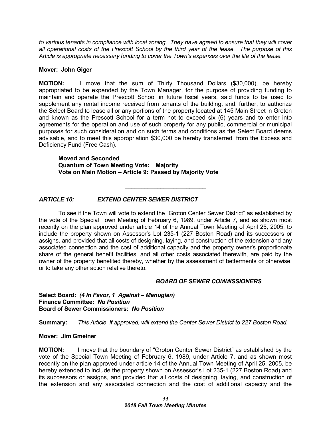*to various tenants in compliance with local zoning. They have agreed to ensure that they will cover all operational costs of the Prescott School by the third year of the lease. The purpose of this Article is appropriate necessary funding to cover the Town's expenses over the life of the lease.* 

#### **Mover: John Giger**

**MOTION:** I move that the sum of Thirty Thousand Dollars (\$30,000), be hereby appropriated to be expended by the Town Manager, for the purpose of providing funding to maintain and operate the Prescott School in future fiscal years, said funds to be used to supplement any rental income received from tenants of the building, and, further, to authorize the Select Board to lease all or any portions of the property located at 145 Main Street in Groton and known as the Prescott School for a term not to exceed six (6) years and to enter into agreements for the operation and use of such property for any public, commercial or municipal purposes for such consideration and on such terms and conditions as the Select Board deems advisable, and to meet this appropriation \$30,000 be hereby transferred from the Excess and Deficiency Fund (Free Cash).

**Moved and Seconded Quantum of Town Meeting Vote: Majority Vote on Main Motion – Article 9: Passed by Majority Vote**

# *ARTICLE 10: EXTEND CENTER SEWER DISTRICT*

To see if the Town will vote to extend the "Groton Center Sewer District" as established by the vote of the Special Town Meeting of February 6, 1989, under Article 7, and as shown most recently on the plan approved under article 14 of the Annual Town Meeting of April 25, 2005, to include the property shown on Assessor's Lot 235-1 (227 Boston Road) and its successors or assigns, and provided that all costs of designing, laying, and construction of the extension and any associated connection and the cost of additional capacity and the property owner's proportionate share of the general benefit facilities, and all other costs associated therewith, are paid by the owner of the property benefited thereby, whether by the assessment of betterments or otherwise, or to take any other action relative thereto.

\_\_\_\_\_\_\_\_\_\_\_\_\_\_\_\_\_\_\_\_\_\_\_\_\_

#### *BOARD OF SEWER COMMISSIONERS*

#### **Select Board:** *(4 In Favor, 1 Against – Manugian)* **Finance Committee:** *No Position* **Board of Sewer Commissioners:** *No Position*

**Summary:** *This Article, if approved, will extend the Center Sewer District to 227 Boston Road.*

#### **Mover: Jim Gmeiner**

**MOTION:** I move that the boundary of "Groton Center Sewer District" as established by the vote of the Special Town Meeting of February 6, 1989, under Article 7, and as shown most recently on the plan approved under article 14 of the Annual Town Meeting of April 25, 2005, be hereby extended to include the property shown on Assessor's Lot 235-1 (227 Boston Road) and its successors or assigns, and provided that all costs of designing, laying, and construction of the extension and any associated connection and the cost of additional capacity and the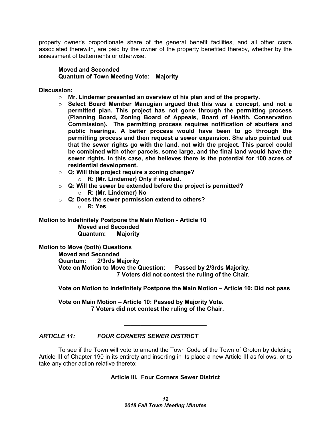property owner's proportionate share of the general benefit facilities, and all other costs associated therewith, are paid by the owner of the property benefited thereby, whether by the assessment of betterments or otherwise.

#### **Moved and Seconded Quantum of Town Meeting Vote: Majority**

**Discussion:**

- o **Mr. Lindemer presented an overview of his plan and of the property.**
- o **Select Board Member Manugian argued that this was a concept, and not a permitted plan. This project has not gone through the permitting process (Planning Board, Zoning Board of Appeals, Board of Health, Conservation Commission). The permitting process requires notification of abutters and public hearings. A better process would have been to go through the permitting process and then request a sewer expansion. She also pointed out that the sewer rights go with the land, not with the project. This parcel could be combined with other parcels, some large, and the final land would have the sewer rights. In this case, she believes there is the potential for 100 acres of residential development.**
- o **Q: Will this project require a zoning change?** o **R: (Mr. Lindemer) Only if needed.**
- o **Q: Will the sewer be extended before the project is permitted?** o **R: (Mr. Lindemer) No**
- o **Q: Does the sewer permission extend to others?**
	- o **R: Yes**

**Motion to Indefinitely Postpone the Main Motion - Article 10 Moved and Seconded Quantum: Majority**

**Motion to Move (both) Questions Moved and Seconded Quantum: 2/3rds Majority Vote on Motion to Move the Question: Passed by 2/3rds Majority. 7 Voters did not contest the ruling of the Chair.**

**Vote on Motion to Indefinitely Postpone the Main Motion – Article 10: Did not pass**

**Vote on Main Motion – Article 10: Passed by Majority Vote. 7 Voters did not contest the ruling of the Chair.**

# *ARTICLE 11: FOUR CORNERS SEWER DISTRICT*

To see if the Town will vote to amend the Town Code of the Town of Groton by deleting Article III of Chapter 190 in its entirety and inserting in its place a new Article III as follows, or to take any other action relative thereto:

 $\overline{\phantom{a}}$  , which is a set of the set of the set of the set of the set of the set of the set of the set of the set of the set of the set of the set of the set of the set of the set of the set of the set of the set of th

# **Article III. Four Corners Sewer District**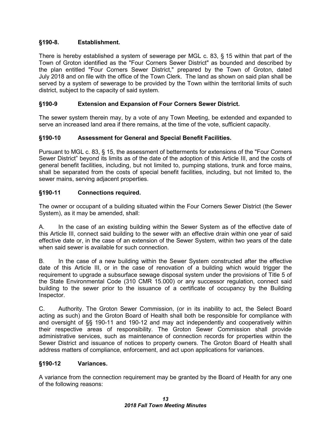# **§190-8. Establishment.**

There is hereby established a system of sewerage per MGL c. 83, § 15 within that part of the Town of Groton identified as the "Four Corners Sewer District" as bounded and described by the plan entitled "Four Corners Sewer District," prepared by the Town of Groton, dated July 2018 and on file with the office of the Town Clerk. The land as shown on said plan shall be served by a system of sewerage to be provided by the Town within the territorial limits of such district, subject to the capacity of said system.

# **§190-9 Extension and Expansion of Four Corners Sewer District.**

The sewer system therein may, by a vote of any Town Meeting, be extended and expanded to serve an increased land area if there remains, at the time of the vote, sufficient capacity.

# **§190-10 Assessment for General and Special Benefit Facilities.**

Pursuant to MGL c. 83, § 15, the assessment of betterments for extensions of the "Four Corners Sewer District" beyond its limits as of the date of the adoption of this Article III, and the costs of general benefit facilities, including, but not limited to, pumping stations, trunk and force mains, shall be separated from the costs of special benefit facilities, including, but not limited to, the sewer mains, serving adjacent properties.

# **§190-11 Connections required.**

The owner or occupant of a building situated within the Four Corners Sewer District (the Sewer System), as it may be amended, shall:

A. In the case of an existing building within the Sewer System as of the effective date of this Article III, connect said building to the sewer with an effective drain within one year of said effective date or, in the case of an extension of the Sewer System, within two years of the date when said sewer is available for such connection

B. In the case of a new building within the Sewer System constructed after the effective date of this Article III, or in the case of renovation of a building which would trigger the requirement to upgrade a subsurface sewage disposal system under the provisions of Title 5 of the State Environmental Code (310 CMR 15.000) or any successor regulation, connect said building to the sewer prior to the issuance of a certificate of occupancy by the Building Inspector.

C. Authority. The Groton Sewer Commission, (or in its inability to act, the Select Board acting as such) and the Groton Board of Health shall both be responsible for compliance with and oversight of §§ 190-11 and 190-12 and may act independently and cooperatively within their respective areas of responsibility. The Groton Sewer Commission shall provide administrative services, such as maintenance of connection records for properties within the Sewer District and issuance of notices to property owners. The Groton Board of Health shall address matters of compliance, enforcement, and act upon applications for variances.

# **§190-12 Variances.**

A variance from the connection requirement may be granted by the Board of Health for any one of the following reasons: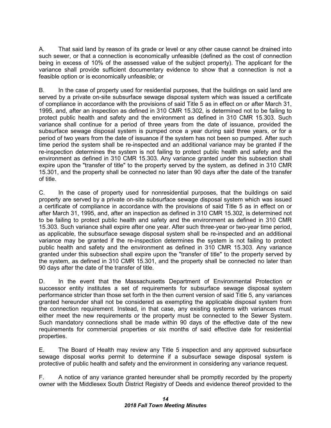A. That said land by reason of its grade or level or any other cause cannot be drained into such sewer, or that a connection is economically unfeasible (defined as the cost of connection being in excess of 10% of the assessed value of the subject property). The applicant for the variance shall provide sufficient documentary evidence to show that a connection is not a feasible option or is economically unfeasible; or

B. In the case of property used for residential purposes, that the buildings on said land are served by a private on-site subsurface sewage disposal system which was issued a certificate of compliance in accordance with the provisions of said Title 5 as in effect on or after March 31, 1995, and, after an inspection as defined in 310 CMR 15.302, is determined not to be failing to protect public health and safety and the environment as defined in 310 CMR 15.303. Such variance shall continue for a period of three years from the date of issuance, provided the subsurface sewage disposal system is pumped once a year during said three years, or for a period of two years from the date of issuance if the system has not been so pumped. After such time period the system shall be re-inspected and an additional variance may be granted if the re-inspection determines the system is not failing to protect public health and safety and the environment as defined in 310 CMR 15.303. Any variance granted under this subsection shall expire upon the "transfer of title" to the property served by the system, as defined in 310 CMR 15.301, and the property shall be connected no later than 90 days after the date of the transfer of title.

C. In the case of property used for nonresidential purposes, that the buildings on said property are served by a private on-site subsurface sewage disposal system which was issued a certificate of compliance in accordance with the provisions of said Title 5 as in effect on or after March 31, 1995, and, after an inspection as defined in 310 CMR 15.302, is determined not to be failing to protect public health and safety and the environment as defined in 310 CMR 15.303. Such variance shall expire after one year. After such three-year or two-year time period, as applicable, the subsurface sewage disposal system shall be re-inspected and an additional variance may be granted if the re-inspection determines the system is not failing to protect public health and safety and the environment as defined in 310 CMR 15.303. Any variance granted under this subsection shall expire upon the "transfer of title" to the property served by the system, as defined in 310 CMR 15.301, and the property shall be connected no later than 90 days after the date of the transfer of title.

D. In the event that the Massachusetts Department of Environmental Protection or successor entity institutes a set of requirements for subsurface sewage disposal system performance stricter than those set forth in the then current version of said Title 5, any variances granted hereunder shall not be considered as exempting the applicable disposal system from the connection requirement. Instead, in that case, any existing systems with variances must either meet the new requirements or the property must be connected to the Sewer System. Such mandatory connections shall be made within 90 days of the effective date of the new requirements for commercial properties or six months of said effective date for residential properties.

E. The Board of Health may review any Title 5 inspection and any approved subsurface sewage disposal works permit to determine if a subsurface sewage disposal system is protective of public health and safety and the environment in considering any variance request.

F. A notice of any variance granted hereunder shall be promptly recorded by the property owner with the Middlesex South District Registry of Deeds and evidence thereof provided to the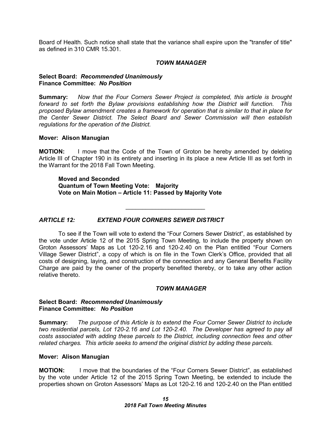Board of Health. Such notice shall state that the variance shall expire upon the "transfer of title" as defined in 310 CMR 15.301.

#### *TOWN MANAGER*

#### **Select Board:** *Recommended Unanimously* **Finance Committee:** *No Position*

**Summary:** *Now that the Four Corners Sewer Project is completed, this article is brought forward to set forth the Bylaw provisions establishing how the District will function. This proposed Bylaw amendment creates a framework for operation that is similar to that in place for the Center Sewer District. The Select Board and Sewer Commission will then establish regulations for the operation of the District.*

#### **Mover: Alison Manugian**

**MOTION:** I move that the Code of the Town of Groton be hereby amended by deleting Article III of Chapter 190 in its entirety and inserting in its place a new Article III as set forth in the Warrant for the 2018 Fall Town Meeting.

 $\overline{\phantom{a}}$  , which is a set of the set of the set of the set of the set of the set of the set of the set of the set of the set of the set of the set of the set of the set of the set of the set of the set of the set of th

**Moved and Seconded Quantum of Town Meeting Vote: Majority Vote on Main Motion – Article 11: Passed by Majority Vote**

# *ARTICLE 12: EXTEND FOUR CORNERS SEWER DISTRICT*

To see if the Town will vote to extend the "Four Corners Sewer District", as established by the vote under Article 12 of the 2015 Spring Town Meeting, to include the property shown on Groton Assessors' Maps as Lot 120-2.16 and 120-2.40 on the Plan entitled "Four Corners Village Sewer District", a copy of which is on file in the Town Clerk's Office, provided that all costs of designing, laying, and construction of the connection and any General Benefits Facility Charge are paid by the owner of the property benefited thereby, or to take any other action relative thereto.

#### *TOWN MANAGER*

#### **Select Board:** *Recommended Unanimously* **Finance Committee:** *No Position*

**Summary:** *The purpose of this Article is to extend the Four Corner Sewer District to include two residential parcels, Lot 120-2.16 and Lot 120-2.40. The Developer has agreed to pay all costs associated with adding these parcels to the District, including connection fees and other related charges. This article seeks to amend the original district by adding these parcels.*

#### **Mover: Alison Manugian**

**MOTION:** I move that the boundaries of the "Four Corners Sewer District", as established by the vote under Article 12 of the 2015 Spring Town Meeting, be extended to include the properties shown on Groton Assessors' Maps as Lot 120-2.16 and 120-2.40 on the Plan entitled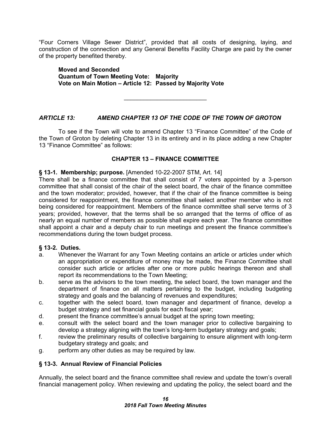"Four Corners Village Sewer District", provided that all costs of designing, laying, and construction of the connection and any General Benefits Facility Charge are paid by the owner of the property benefited thereby.

**Moved and Seconded Quantum of Town Meeting Vote: Majority Vote on Main Motion – Article 12: Passed by Majority Vote**

 $\overline{\phantom{a}}$  , which is a set of the set of the set of the set of the set of the set of the set of the set of the set of the set of the set of the set of the set of the set of the set of the set of the set of the set of th

# *ARTICLE 13: AMEND CHAPTER 13 OF THE CODE OF THE TOWN OF GROTON*

To see if the Town will vote to amend Chapter 13 "Finance Committee" of the Code of the Town of Groton by deleting Chapter 13 in its entirety and in its place adding a new Chapter 13 "Finance Committee" as follows:

# **CHAPTER 13 – FINANCE COMMITTEE**

# **§ 13-1. Membership; purpose.** [Amended 10-22-2007 STM, Art. 14]

There shall be a finance committee that shall consist of 7 voters appointed by a 3-person committee that shall consist of the chair of the select board, the chair of the finance committee and the town moderator; provided, however, that if the chair of the finance committee is being considered for reappointment, the finance committee shall select another member who is not being considered for reappointment. Members of the finance committee shall serve terms of 3 years; provided, however, that the terms shall be so arranged that the terms of office of as nearly an equal number of members as possible shall expire each year. The finance committee shall appoint a chair and a deputy chair to run meetings and present the finance committee's recommendations during the town budget process.

# **§ 13-2. Duties.**

- a. Whenever the Warrant for any Town Meeting contains an article or articles under which an appropriation or expenditure of money may be made, the Finance Committee shall consider such article or articles after one or more public hearings thereon and shall report its recommendations to the Town Meeting;
- b. serve as the advisors to the town meeting, the select board, the town manager and the department of finance on all matters pertaining to the budget, including budgeting strategy and goals and the balancing of revenues and expenditures;
- c. together with the select board, town manager and department of finance, develop a budget strategy and set financial goals for each fiscal year;
- d. present the finance committee's annual budget at the spring town meeting;
- e. consult with the select board and the town manager prior to collective bargaining to develop a strategy aligning with the town's long-term budgetary strategy and goals;
- f. review the preliminary results of collective bargaining to ensure alignment with long-term budgetary strategy and goals; and
- g. perform any other duties as may be required by law.

# **§ 13-3. Annual Review of Financial Policies**

Annually, the select board and the finance committee shall review and update the town's overall financial management policy. When reviewing and updating the policy, the select board and the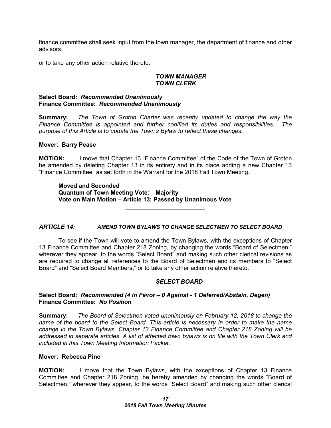finance committee shall seek input from the town manager, the department of finance and other advisors.

or to take any other action relative thereto.

#### *TOWN MANAGER TOWN CLERK*

#### **Select Board:** *Recommended Unanimously* **Finance Committee:** *Recommended Unanimously*

**Summary:** *The Town of Groton Charter was recently updated to change the way the Finance Committee is appointed and further codified its duties and responsibilities. The purpose of this Article is to update the Town's Bylaw to reflect these changes.*

#### **Mover: Barry Pease**

**MOTION:** I move that Chapter 13 "Finance Committee" of the Code of the Town of Groton be amended by deleting Chapter 13 in its entirety and in its place adding a new Chapter 13 "Finance Committee" as set forth in the Warrant for the 2018 Fall Town Meeting.

**Moved and Seconded Quantum of Town Meeting Vote: Majority Vote on Main Motion – Article 13: Passed by Unanimous Vote**

#### *ARTICLE 14: AMEND TOWN BYLAWS TO CHANGE SELECTMEN TO SELECT BOARD*

 $\mathcal{L}_\text{max}$  , which is a set of the set of the set of the set of the set of the set of the set of the set of the set of the set of the set of the set of the set of the set of the set of the set of the set of the set of

To see if the Town will vote to amend the Town Bylaws, with the exceptions of Chapter 13 Finance Committee and Chapter 218 Zoning, by changing the words "Board of Selectmen," wherever they appear, to the words "Select Board" and making such other clerical revisions as are required to change all references to the Board of Selectmen and its members to "Select Board" and "Select Board Members," or to take any other action relative thereto.

#### *SELECT BOARD*

#### **Select Board:** *Recommended (4 in Favor – 0 Against - 1 Deferred/Abstain, Degen)* **Finance Committee:** *No Position*

**Summary:** *The Board of Selectmen voted unanimously on February 12, 2018 to change the name of the board to the Select Board. This article is necessary in order to make the name change in the Town Bylaws. Chapter 13 Finance Committee and Chapter 218 Zoning will be addressed in separate articles. A list of affected town bylaws is on file with the Town Clerk and included in this Town Meeting Information Packet.*

# **Mover: Rebecca Pine**

**MOTION:** I move that the Town Bylaws, with the exceptions of Chapter 13 Finance Committee and Chapter 218 Zoning, be hereby amended by changing the words "Board of Selectmen," wherever they appear, to the words "Select Board" and making such other clerical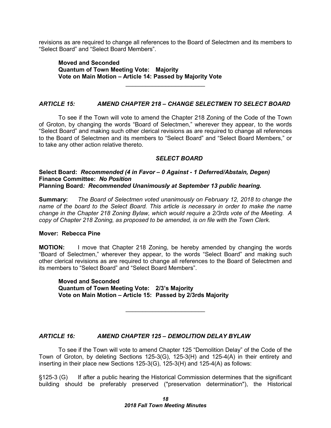revisions as are required to change all references to the Board of Selectmen and its members to "Select Board" and "Select Board Members".

**Moved and Seconded Quantum of Town Meeting Vote: Majority Vote on Main Motion – Article 14: Passed by Majority Vote**

#### *ARTICLE 15: AMEND CHAPTER 218 – CHANGE SELECTMEN TO SELECT BOARD*

 $\overline{\phantom{a}}$  , where  $\overline{\phantom{a}}$  , where  $\overline{\phantom{a}}$  , where  $\overline{\phantom{a}}$ 

To see if the Town will vote to amend the Chapter 218 Zoning of the Code of the Town of Groton, by changing the words "Board of Selectmen," wherever they appear, to the words "Select Board" and making such other clerical revisions as are required to change all references to the Board of Selectmen and its members to "Select Board" and "Select Board Members," or to take any other action relative thereto.

#### *SELECT BOARD*

#### **Select Board:** *Recommended (4 in Favor – 0 Against - 1 Deferred/Abstain, Degen)* **Finance Committee:** *No Position* **Planning Board***: Recommended Unanimously at September 13 public hearing.*

**Summary:** *The Board of Selectmen voted unanimously on February 12, 2018 to change the name of the board to the Select Board. This article is necessary in order to make the name change in the Chapter 218 Zoning Bylaw, which would require a 2/3rds vote of the Meeting. A copy of Chapter 218 Zoning, as proposed to be amended, is on file with the Town Clerk.*

#### **Mover: Rebecca Pine**

**MOTION:** I move that Chapter 218 Zoning, be hereby amended by changing the words "Board of Selectmen," wherever they appear, to the words "Select Board" and making such other clerical revisions as are required to change all references to the Board of Selectmen and its members to "Select Board" and "Select Board Members".

**Moved and Seconded Quantum of Town Meeting Vote: 2/3's Majority Vote on Main Motion – Article 15: Passed by 2/3rds Majority**

#### *ARTICLE 16: AMEND CHAPTER 125 – DEMOLITION DELAY BYLAW*

To see if the Town will vote to amend Chapter 125 "Demolition Delay" of the Code of the Town of Groton, by deleting Sections 125-3(G), 125-3(H) and 125-4(A) in their entirety and inserting in their place new Sections 125-3(G), 125-3(H) and 125-4(A) as follows:

 $\mathcal{L}_\text{max}$  , which is a set of the set of the set of the set of the set of the set of the set of the set of the set of the set of the set of the set of the set of the set of the set of the set of the set of the set of

§125-3 (G) If after a public hearing the Historical Commission determines that the significant building should be preferably preserved ("preservation determination"), the Historical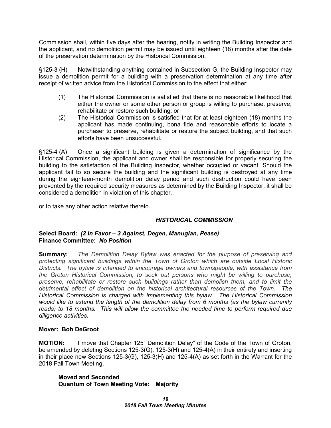Commission shall, within five days after the hearing, notify in writing the Building Inspector and the applicant, and no demolition permit may be issued until eighteen (18) months after the date of the preservation determination by the Historical Commission.

§125-3 (H) Notwithstanding anything contained in Subsection G, the Building Inspector may issue a demolition permit for a building with a preservation determination at any time after receipt of written advice from the Historical Commission to the effect that either:

- (1) The Historical Commission is satisfied that there is no reasonable likelihood that either the owner or some other person or group is willing to purchase, preserve, rehabilitate or restore such building; or
- (2) The Historical Commission is satisfied that for at least eighteen (18) months the applicant has made continuing, bona fide and reasonable efforts to locate a purchaser to preserve, rehabilitate or restore the subject building, and that such efforts have been unsuccessful.

§125-4 (A) Once a significant building is given a determination of significance by the Historical Commission, the applicant and owner shall be responsible for properly securing the building to the satisfaction of the Building Inspector, whether occupied or vacant. Should the applicant fail to so secure the building and the significant building is destroyed at any time during the eighteen-month demolition delay period and such destruction could have been prevented by the required security measures as determined by the Building Inspector, it shall be considered a demolition in violation of this chapter.

or to take any other action relative thereto.

# *HISTORICAL COMMISSION*

# **Select Board:** *(2 In Favor – 3 Against, Degen, Manugian, Pease)* **Finance Committee:** *No Position*

**Summary:** *The Demolition Delay Bylaw was enacted for the purpose of preserving and protecting significant buildings within the Town of Groton which are outside Local Historic Districts. The bylaw is intended to encourage owners and townspeople, with assistance from the Groton Historical Commission, to seek out persons who might be willing to purchase, preserve, rehabilitate or restore such buildings rather than demolish them, and to limit the detrimental effect of demolition on the historical architectural resources of the Town. The Historical Commission is charged with implementing this bylaw. The Historical Commission would like to extend the length of the demolition delay from 6 months (as the bylaw currently reads) to 18 months. This will allow the committee the needed time to perform required due diligence activities.*

# **Mover: Bob DeGroot**

**MOTION:** I move that Chapter 125 "Demolition Delay" of the Code of the Town of Groton, be amended by deleting Sections 125-3(G), 125-3(H) and 125-4(A) in their entirety and inserting in their place new Sections 125-3(G), 125-3(H) and 125-4(A) as set forth in the Warrant for the 2018 Fall Town Meeting.

**Moved and Seconded Quantum of Town Meeting Vote: Majority**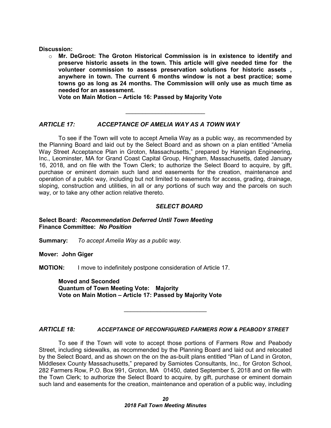**Discussion:**

o **Mr. DeGroot: The Groton Historical Commission is in existence to identify and preserve historic assets in the town. This article will give needed time for the volunteer commission to assess preservation solutions for historic assets , anywhere in town. The current 6 months window is not a best practice; some towns go as long as 24 months. The Commission will only use as much time as needed for an assessment.**

**Vote on Main Motion – Article 16: Passed by Majority Vote**

# *ARTICLE 17: ACCEPTANCE OF AMELIA WAY AS A TOWN WAY*

To see if the Town will vote to accept Amelia Way as a public way, as recommended by the Planning Board and laid out by the Select Board and as shown on a plan entitled "Amelia Way Street Acceptance Plan in Groton, Massachusetts," prepared by Hannigan Engineering, Inc., Leominster, MA for Grand Coast Capital Group, Hingham, Massachusetts, dated January 16, 2018, and on file with the Town Clerk; to authorize the Select Board to acquire, by gift, purchase or eminent domain such land and easements for the creation, maintenance and operation of a public way, including but not limited to easements for access, grading, drainage, sloping, construction and utilities, in all or any portions of such way and the parcels on such way, or to take any other action relative thereto.

 $\overline{\phantom{a}}$  , where  $\overline{\phantom{a}}$  , where  $\overline{\phantom{a}}$  , where  $\overline{\phantom{a}}$ 

#### *SELECT BOARD*

#### **Select Board:** *Recommendation Deferred Until Town Meeting* **Finance Committee:** *No Position*

**Summary:** *To accept Amelia Way as a public way.*

**Mover: John Giger**

**MOTION:** I move to indefinitely postpone consideration of Article 17.

**Moved and Seconded Quantum of Town Meeting Vote: Majority Vote on Main Motion – Article 17: Passed by Majority Vote**

#### *ARTICLE 18: ACCEPTANCE OF RECONFIGURED FARMERS ROW & PEABODY STREET*

 $\overline{\phantom{a}}$  , which is a set of the set of the set of the set of the set of the set of the set of the set of the set of the set of the set of the set of the set of the set of the set of the set of the set of the set of th

To see if the Town will vote to accept those portions of Farmers Row and Peabody Street, including sidewalks, as recommended by the Planning Board and laid out and relocated by the Select Board, and as shown on the on the as-built plans entitled "Plan of Land in Groton, Middlesex County Massachusetts," prepared by Samiotes Consultants, Inc., for Groton School, 282 Farmers Row, P.O. Box 991, Groton, MA 01450, dated September 5, 2018 and on file with the Town Clerk; to authorize the Select Board to acquire, by gift, purchase or eminent domain such land and easements for the creation, maintenance and operation of a public way, including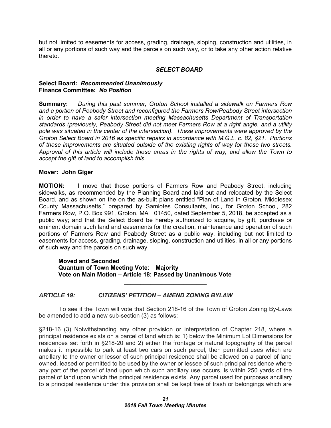but not limited to easements for access, grading, drainage, sloping, construction and utilities, in all or any portions of such way and the parcels on such way, or to take any other action relative thereto.

## *SELECT BOARD*

#### **Select Board:** *Recommended Unanimously* **Finance Committee:** *No Position*

**Summary:** *During this past summer, Groton School installed a sidewalk on Farmers Row and a portion of Peabody Street and reconfigured the Farmers Row/Peabody Street intersection in order to have a safer intersection meeting Massachusetts Department of Transportation standards (previously, Peabody Street did not meet Farmers Row at a right angle, and a utility pole was situated in the center of the intersection). These improvements were approved by the Groton Select Board in 2016 as specific repairs in accordance with M.G.L. c. 82, §21. Portions of these improvements are situated outside of the existing rights of way for these two streets. Approval of this article will include those areas in the rights of way, and allow the Town to accept the gift of land to accomplish this.*

#### **Mover: John Giger**

**MOTION:** I move that those portions of Farmers Row and Peabody Street, including sidewalks, as recommended by the Planning Board and laid out and relocated by the Select Board, and as shown on the on the as-built plans entitled "Plan of Land in Groton, Middlesex County Massachusetts," prepared by Samiotes Consultants, Inc., for Groton School, 282 Farmers Row, P.O. Box 991, Groton, MA 01450, dated September 5, 2018, be accepted as a public way; and that the Select Board be hereby authorized to acquire, by gift, purchase or eminent domain such land and easements for the creation, maintenance and operation of such portions of Farmers Row and Peabody Street as a public way, including but not limited to easements for access, grading, drainage, sloping, construction and utilities, in all or any portions of such way and the parcels on such way.

# **Moved and Seconded Quantum of Town Meeting Vote: Majority Vote on Main Motion – Article 18: Passed by Unanimous Vote**

# *ARTICLE 19: CITIZENS' PETITION – AMEND ZONING BYLAW*

 To see if the Town will vote that Section 218-16 of the Town of Groton Zoning By-Laws be amended to add a new sub-section (3) as follows:

 $\overline{\phantom{a}}$  , which is a set of the set of the set of the set of the set of the set of the set of the set of the set of the set of the set of the set of the set of the set of the set of the set of the set of the set of th

§218-16 (3) Notwithstanding any other provision or interpretation of Chapter 218, where a principal residence exists on a parcel of land which is: 1) below the Minimum Lot Dimensions for residences set forth in §218-20 and 2) either the frontage or natural topography of the parcel makes it impossible to park at least two cars on such parcel, then permitted uses which are ancillary to the owner or lessor of such principal residence shall be allowed on a parcel of land owned, leased or permitted to be used by the owner or lessee of such principal residence where any part of the parcel of land upon which such ancillary use occurs, is within 250 yards of the parcel of land upon which the principal residence exists. Any parcel used for purposes ancillary to a principal residence under this provision shall be kept free of trash or belongings which are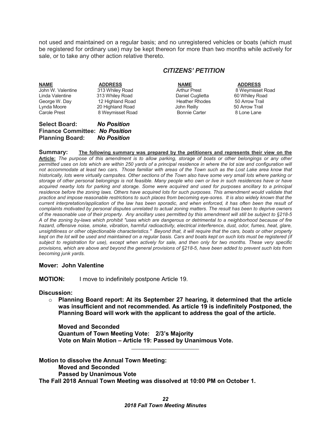not used and maintained on a regular basis; and no unregistered vehicles or boats (which must be registered for ordinary use) may be kept thereon for more than two months while actively for sale, or to take any other action relative thereto.

# *CITIZENS' PETITION*

| <b>Carole Prest</b><br><b>Select Board:</b><br><b>Finance Committee: No Position</b> | 8 Weymisset Road<br><b>No Position</b> | <b>Bonnie Carter</b>  | 8 Lone Lane      |
|--------------------------------------------------------------------------------------|----------------------------------------|-----------------------|------------------|
| Lynda Moore                                                                          | 20 Highland Road                       | John Reilly           | 50 Arrow Trail   |
| George W. Day                                                                        | 12 Highland Road                       | <b>Heather Rhodes</b> | 50 Arrow Trail   |
| Linda Valentine                                                                      | 313 Whiley Road                        | Daniel Cuglietta      | 60 Whiley Road   |
| John W. Valentine                                                                    | 313 Whiley Road                        | <b>Arthur Prest</b>   | 8 Weymisset Road |
| <b>NAME</b>                                                                          | <b>ADDRESS</b>                         | <b>NAME</b>           | <b>ADDRESS</b>   |

**Summary:****The following summary was prepared by the petitioners and represents their view on the Article:** *The purpose of this amendment is to allow parking, storage of boats or other belongings or any other permitted uses on lots which are within 250 yards of a principal residence in where the lot size and configuration will not accommodate at least two cars. Those familiar with areas of the Town such as the Lost Lake area know that historically, lots were virtually campsites. Other sections of the Town also have some very small lots where parking or storage of other personal belongings is not feasible. Many people who own or live in such residences have or have acquired nearby lots for parking and storage. Some were acquired and used for purposes ancillary to a principal*  residence before the zoning laws. Others have acquired lots for such purposes. This amendment would validate that *practice and impose reasonable restrictions to such places from becoming eye-sores. It is also widely known that the current interpretation/application of the law has been sporadic, and when enforced, it has often been the result of complaints motivated by personal disputes unrelated to actual zoning matters. The result has been to deprive owners of the reasonable use of their property. Any ancillary uses permitted by this amendment will still be subject to §218-5 A of the zoning by-laws which prohibit "uses which are dangerous or detrimental to a neighborhood because of fire hazard, offensive noise, smoke, vibration, harmful radioactivity, electrical interference, dust, odor, fumes, heat, glare, unsightliness or other objectionable characteristics." Beyond that, it will require that the cars, boats or other property kept on the lot will be used and maintained on a regular basis. Cars and boats kept on such lots must be registered (if subject to registration for use), except when actively for sale, and then only for two months. These very specific provisions, which are above and beyond the general provisions of §218-5, have been added to prevent such lots from becoming junk yards.*

#### **Mover: John Valentine**

**Planning Board:** *No Position*

**MOTION:** I move to indefinitely postpone Article 19.

**Discussion:**

o **Planning Board report: At its September 27 hearing, it determined that the article was insufficient and not recommended. As article 19 is indefinitely Postponed, the Planning Board will work with the applicant to address the goal of the article.**

**Moved and Seconded Quantum of Town Meeting Vote: 2/3's Majority Vote on Main Motion – Article 19: Passed by Unanimous Vote.**

**Motion to dissolve the Annual Town Meeting: Moved and Seconded Passed by Unanimous Vote The Fall 2018 Annual Town Meeting was dissolved at 10:00 PM on October 1.**

\_\_\_\_\_\_\_\_\_\_\_\_\_\_\_\_\_\_\_\_\_\_\_\_\_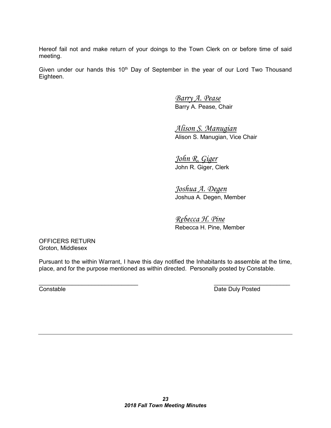Hereof fail not and make return of your doings to the Town Clerk on or before time of said meeting.

Given under our hands this  $10<sup>th</sup>$  Day of September in the year of our Lord Two Thousand Eighteen.

> *Barry A. Pease* Barry A. Pease, Chair

*Alison S. Manugian* Alison S. Manugian, Vice Chair

*John R. Giger* John R. Giger, Clerk

*Joshua A. Degen* Joshua A. Degen, Member

*Rebecca H. Pine* Rebecca H. Pine, Member

OFFICERS RETURN Groton, Middlesex

Pursuant to the within Warrant, I have this day notified the Inhabitants to assemble at the time, place, and for the purpose mentioned as within directed. Personally posted by Constable.

 $\_$  , and the contribution of  $\overline{\phantom{a}}$  , and  $\overline{\phantom{a}}$  , and  $\overline{\phantom{a}}$  , and  $\overline{\phantom{a}}$  , and  $\overline{\phantom{a}}$ **Constable Constable Date Duly Posted**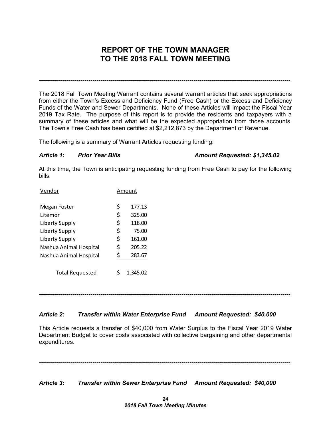# **REPORT OF THE TOWN MANAGER TO THE 2018 FALL TOWN MEETING**

**-------------------------------------------------------------------------------------------------------------------------------**

The 2018 Fall Town Meeting Warrant contains several warrant articles that seek appropriations from either the Town's Excess and Deficiency Fund (Free Cash) or the Excess and Deficiency Funds of the Water and Sewer Departments. None of these Articles will impact the Fiscal Year 2019 Tax Rate. The purpose of this report is to provide the residents and taxpayers with a summary of these articles and what will be the expected appropriation from those accounts. The Town's Free Cash has been certified at \$2,212,873 by the Department of Revenue.

The following is a summary of Warrant Articles requesting funding:

#### *Article 1: Prior Year Bills Amount Requested: \$1,345.02*

At this time, the Town is anticipating requesting funding from Free Cash to pay for the following bills:

| Vendor                 | Amount       |
|------------------------|--------------|
| Megan Foster           | \$<br>177.13 |
| Litemor                | \$<br>325.00 |
| Liberty Supply         | \$<br>118.00 |
| Liberty Supply         | \$<br>75.00  |
| Liberty Supply         | \$<br>161.00 |
| Nashua Animal Hospital | \$<br>205.22 |
| Nashua Animal Hospital | \$<br>283.67 |
| <b>Total Requested</b> | 1,345.02     |

**-------------------------------------------------------------------------------------------------------------------------------**

# *Article 2: Transfer within Water Enterprise Fund Amount Requested: \$40,000*

This Article requests a transfer of \$40,000 from Water Surplus to the Fiscal Year 2019 Water Department Budget to cover costs associated with collective bargaining and other departmental expenditures.

**-------------------------------------------------------------------------------------------------------------------------------**

*Article 3: Transfer within Sewer Enterprise Fund Amount Requested: \$40,000*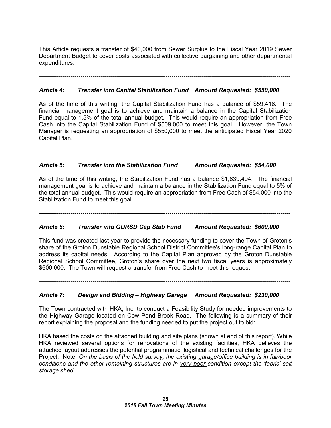This Article requests a transfer of \$40,000 from Sewer Surplus to the Fiscal Year 2019 Sewer Department Budget to cover costs associated with collective bargaining and other departmental expenditures.

**-------------------------------------------------------------------------------------------------------------------------------**

# *Article 4: Transfer into Capital Stabilization Fund Amount Requested: \$550,000*

As of the time of this writing, the Capital Stabilization Fund has a balance of \$59,416. The financial management goal is to achieve and maintain a balance in the Capital Stabilization Fund equal to 1.5% of the total annual budget. This would require an appropriation from Free Cash into the Capital Stabilization Fund of \$509,000 to meet this goal. However, the Town Manager is requesting an appropriation of \$550,000 to meet the anticipated Fiscal Year 2020 Capital Plan.

**-------------------------------------------------------------------------------------------------------------------------------**

# *Article 5: Transfer into the Stabilization Fund Amount Requested: \$54,000*

As of the time of this writing, the Stabilization Fund has a balance \$1,839,494. The financial management goal is to achieve and maintain a balance in the Stabilization Fund equal to 5% of the total annual budget. This would require an appropriation from Free Cash of \$54,000 into the Stabilization Fund to meet this goal.

**-------------------------------------------------------------------------------------------------------------------------------**

# *Article 6: Transfer into GDRSD Cap Stab Fund Amount Requested: \$600,000*

This fund was created last year to provide the necessary funding to cover the Town of Groton's share of the Groton Dunstable Regional School District Committee's long-range Capital Plan to address its capital needs. According to the Capital Plan approved by the Groton Dunstable Regional School Committee, Groton's share over the next two fiscal years is approximately \$600,000. The Town will request a transfer from Free Cash to meet this request.

**-------------------------------------------------------------------------------------------------------------------------------**

# *Article 7: Design and Bidding – Highway Garage Amount Requested: \$230,000*

The Town contracted with HKA, Inc. to conduct a Feasibility Study for needed improvements to the Highway Garage located on Cow Pond Brook Road. The following is a summary of their report explaining the proposal and the funding needed to put the project out to bid:

HKA based the costs on the attached building and site plans (shown at end of this report). While HKA reviewed several options for renovations of the existing facilities, HKA believes the attached layout addresses the potential programmatic, logistical and technical challenges for the Project. Note: *On the basis of the field survey, the existing garage/office building is in fair/poor conditions and the other remaining structures are in very poor condition except the 'fabric' salt storage shed*.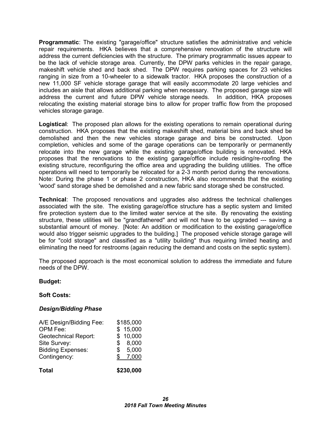**Programmatic**: The existing "garage/office" structure satisfies the administrative and vehicle repair requirements. HKA believes that a comprehensive renovation of the structure will address the current deficiencies with the structure. The primary programmatic issues appear to be the lack of vehicle storage area. Currently, the DPW parks vehicles in the repair garage, makeshift vehicle shed and back shed. The DPW requires parking spaces for 23 vehicles ranging in size from a 10-wheeler to a sidewalk tractor. HKA proposes the construction of a new 11,000 SF vehicle storage garage that will easily accommodate 20 large vehicles and includes an aisle that allows additional parking when necessary. The proposed garage size will address the current and future DPW vehicle storage needs. In addition, HKA proposes relocating the existing material storage bins to allow for proper traffic flow from the proposed vehicles storage garage.

**Logistical**: The proposed plan allows for the existing operations to remain operational during construction. HKA proposes that the existing makeshift shed, material bins and back shed be demolished and then the new vehicles storage garage and bins be constructed. Upon completion, vehicles and some of the garage operations can be temporarily or permanently relocate into the new garage while the existing garage/office building is renovated. HKA proposes that the renovations to the existing garage/office include residing/re-roofing the existing structure, reconfiguring the office area and upgrading the building utilities. The office operations will need to temporarily be relocated for a 2-3 month period during the renovations. Note: During the phase 1 or phase 2 construction, HKA also recommends that the existing 'wood' sand storage shed be demolished and a new fabric sand storage shed be constructed.

**Technical**: The proposed renovations and upgrades also address the technical challenges associated with the site. The existing garage/office structure has a septic system and limited fire protection system due to the limited water service at the site. By renovating the existing structure, these utilities will be "grandfathered" and will not have to be upgraded --- saving a substantial amount of money. [Note: An addition or modification to the existing garage/office would also trigger seismic upgrades to the building.] The proposed vehicle storage garage will be for "cold storage" and classified as a "utility building" thus requiring limited heating and eliminating the need for restrooms (again reducing the demand and costs on the septic system).

The proposed approach is the most economical solution to address the immediate and future needs of the DPW.

# **Budget:**

#### **Soft Costs:**

#### *Design/Bidding Phase*

| <b>Total</b>                |    | \$230,000 |
|-----------------------------|----|-----------|
| Contingency:                | S  | 7,000     |
| <b>Bidding Expenses:</b>    | \$ | 5,000     |
| Site Survey:                | \$ | 8,000     |
| <b>Geotechnical Report:</b> |    | \$10,000  |
| OPM Fee:                    |    | \$15,000  |
| A/E Design/Bidding Fee:     |    | \$185,000 |
|                             |    |           |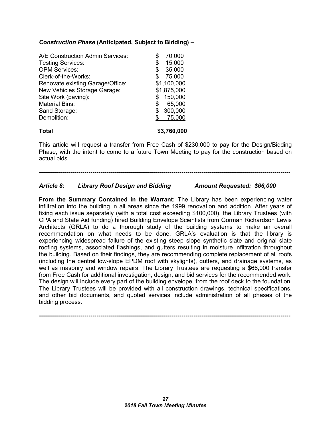# *Construction Phase* **(Anticipated, Subject to Bidding) –**

| A/E Construction Admin Services: | \$ | 70,000      |
|----------------------------------|----|-------------|
| <b>Testing Services:</b>         | \$ | 15,000      |
| <b>OPM Services:</b>             | \$ | 35,000      |
| Clerk-of-the-Works:              | S  | 75,000      |
| Renovate existing Garage/Office: |    | \$1,100,000 |
| New Vehicles Storage Garage:     |    | \$1,875,000 |
| Site Work (paving):              | \$ | 150,000     |
| <b>Material Bins:</b>            | \$ | 65,000      |
| Sand Storage:                    |    | 300,000     |
| Demolition:                      |    | 75,000      |
| Total                            |    | \$3,760,000 |

This article will request a transfer from Free Cash of \$230,000 to pay for the Design/Bidding Phase, with the intent to come to a future Town Meeting to pay for the construction based on actual bids.

**-------------------------------------------------------------------------------------------------------------------------------**

# *Article 8: Library Roof Design and Bidding Amount Requested: \$66,000*

**From the Summary Contained in the Warrant:** The Library has been experiencing water infiltration into the building in all areas since the 1999 renovation and addition. After years of fixing each issue separately (with a total cost exceeding \$100,000), the Library Trustees (with CPA and State Aid funding) hired Building Envelope Scientists from Gorman Richardson Lewis Architects (GRLA) to do a thorough study of the building systems to make an overall recommendation on what needs to be done. GRLA's evaluation is that the library is experiencing widespread failure of the existing steep slope synthetic slate and original slate roofing systems, associated flashings, and gutters resulting in moisture infiltration throughout the building. Based on their findings, they are recommending complete replacement of all roofs (including the central low-slope EPDM roof with skylights), gutters, and drainage systems, as well as masonry and window repairs. The Library Trustees are requesting a \$66,000 transfer from Free Cash for additional investigation, design, and bid services for the recommended work. The design will include every part of the building envelope, from the roof deck to the foundation. The Library Trustees will be provided with all construction drawings, technical specifications, and other bid documents, and quoted services include administration of all phases of the bidding process.

**-------------------------------------------------------------------------------------------------------------------------------**